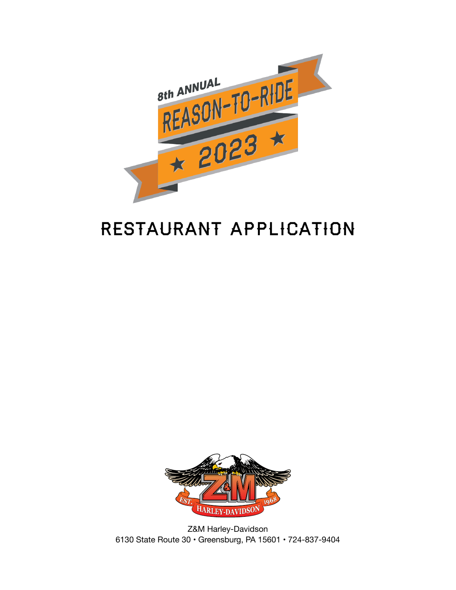

# RESTAURANT APPLICATION



Z&M Harley-Davidson 6130 State Route 30 • Greensburg, PA 15601 • 724-837-9404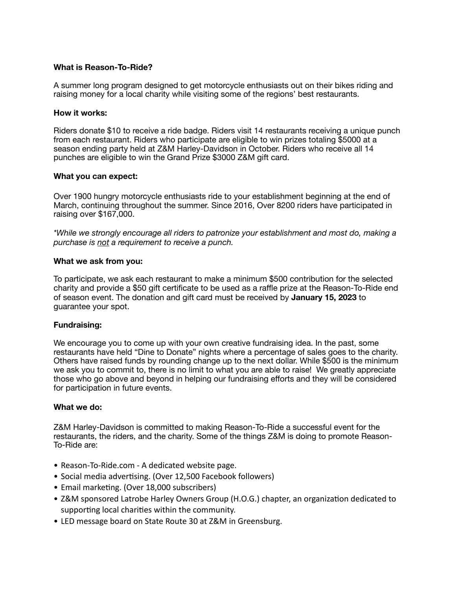#### **What is Reason-To-Ride?**

A summer long program designed to get motorcycle enthusiasts out on their bikes riding and raising money for a local charity while visiting some of the regions' best restaurants.

#### **How it works:**

Riders donate \$10 to receive a ride badge. Riders visit 14 restaurants receiving a unique punch from each restaurant. Riders who participate are eligible to win prizes totaling \$5000 at a season ending party held at Z&M Harley-Davidson in October. Riders who receive all 14 punches are eligible to win the Grand Prize \$3000 Z&M gift card.

#### **What you can expect:**

Over 1900 hungry motorcycle enthusiasts ride to your establishment beginning at the end of March, continuing throughout the summer. Since 2016, Over 8200 riders have participated in raising over \$167,000.

*\*While we strongly encourage all riders to patronize your establishment and most do, making a purchase is not a requirement to receive a punch.*

#### **What we ask from you:**

To participate, we ask each restaurant to make a minimum \$500 contribution for the selected charity and provide a \$50 gift certificate to be used as a raffle prize at the Reason-To-Ride end of season event. The donation and gift card must be received by **January 15, 2023** to guarantee your spot.

### **Fundraising:**

We encourage you to come up with your own creative fundraising idea. In the past, some restaurants have held "Dine to Donate" nights where a percentage of sales goes to the charity. Others have raised funds by rounding change up to the next dollar. While \$500 is the minimum we ask you to commit to, there is no limit to what you are able to raise! We greatly appreciate those who go above and beyond in helping our fundraising efforts and they will be considered for participation in future events.

#### **What we do:**

Z&M Harley-Davidson is committed to making Reason-To-Ride a successful event for the restaurants, the riders, and the charity. Some of the things Z&M is doing to promote Reason-To-Ride are:

- [Reason-To-Ride.com](http://Reason-To-Ride.com) A dedicated website page.
- Social media advertising. (Over 12,500 Facebook followers)
- Email marketing. (Over 18,000 subscribers)
- Z&M sponsored Latrobe Harley Owners Group (H.O.G.) chapter, an organization dedicated to supporting local charities within the community.
- LED message board on State Route 30 at Z&M in Greensburg.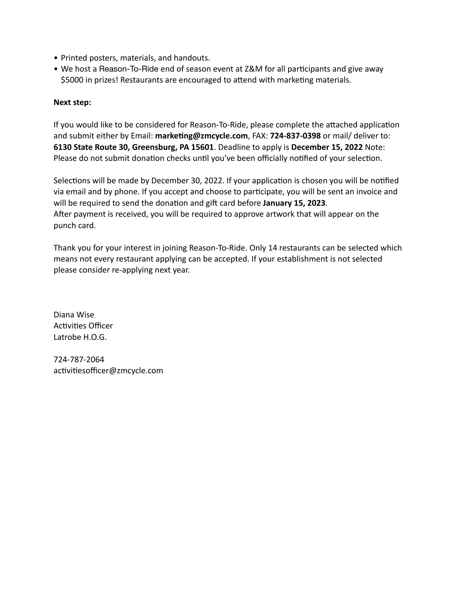- Printed posters, materials, and handouts.
- We host a Reason-To-Ride end of season event at Z&M for all participants and give away \$5000 in prizes! Restaurants are encouraged to attend with marketing materials.

## **Next step:**

If you would like to be considered for Reason-To-Ride, please complete the attached application and submit either by Email: **[marketing@zmcycle.com](mailto:marketing@zmcycle.com)**, FAX: **724-837-0398** or mail/ deliver to: **6130 State Route 30, Greensburg, PA 15601**. Deadline to apply is **December 15, 2022** Note: Please do not submit donation checks until you've been officially notified of your selection.

Selections will be made by December 30, 2022. If your application is chosen you will be notified via email and by phone. If you accept and choose to participate, you will be sent an invoice and will be required to send the donation and gift card before **January 15, 2023**. After payment is received, you will be required to approve artwork that will appear on the punch card.

Thank you for your interest in joining Reason-To-Ride. Only 14 restaurants can be selected which means not every restaurant applying can be accepted. If your establishment is not selected please consider re-applying next year.

Diana Wise Activities Officer Latrobe H.O.G.

724-787-2064 activitiesofficer@zmcycle.com